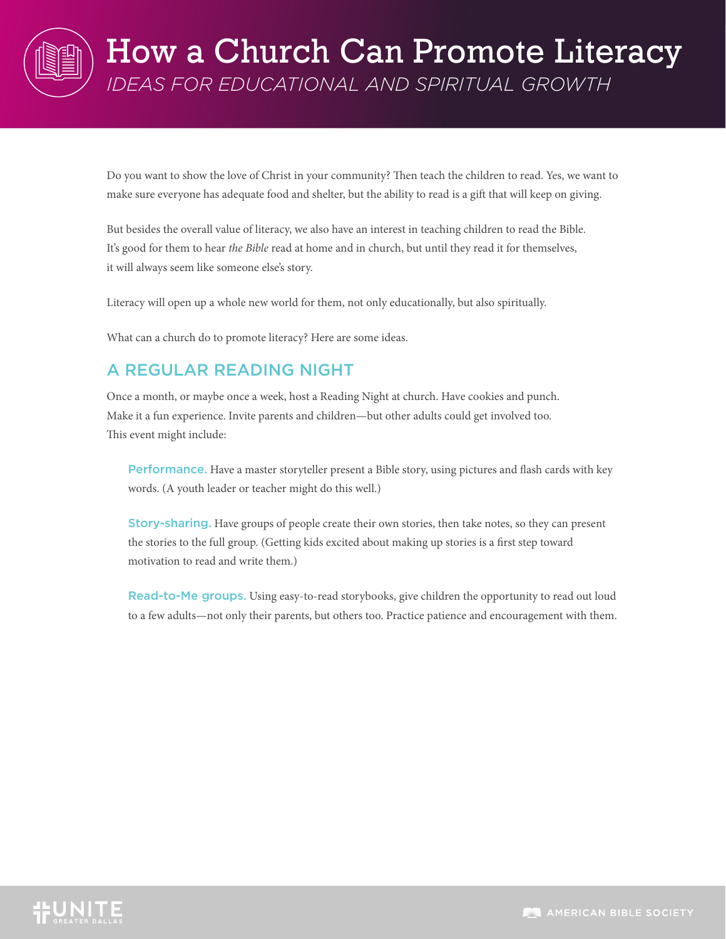

Do you want to show the love of Christ in your community? Then teach the children to read. Yes, we want to make sure everyone has adequate food and shelter, but the ability to read is a gift that will keep on giving.

But besides the overall value of literacy, we also have an interest in teaching children to read the Bible. It's good for them to hear *the Bible* read at home and in church, but until they read it for themselves, it will always seem like someone else's story.

Literacy will open up a whole new world for them, not only educationally, but also spiritually.

What can a church do to promote literacy? Here are some ideas.

## A REGULAR READING NIGHT

Once a month, or maybe once a week, host a Reading Night at church. Have cookies and punch. Make it a fun experience. Invite parents and children—but other adults could get involved too. This event might include:

Performance. Have a master storyteller present a Bible story, using pictures and flash cards with key words. (A youth leader or teacher might do this well.)

Story-sharing. Have groups of people create their own stories, then take notes, so they can present the stories to the full group. (Getting kids excited about making up stories is a first step toward motivation to read and write them.)

Read-to-Me groups. Using easy-to-read storybooks, give children the opportunity to read out loud to a few adults—not only their parents, but others too. Practice patience and encouragement with them.